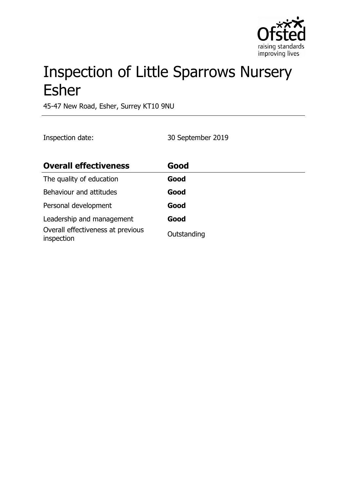

# Inspection of Little Sparrows Nursery Esher

45-47 New Road, Esher, Surrey KT10 9NU

Inspection date: 30 September 2019

| <b>Overall effectiveness</b>                    | Good        |
|-------------------------------------------------|-------------|
| The quality of education                        | Good        |
| Behaviour and attitudes                         | Good        |
| Personal development                            | Good        |
| Leadership and management                       | Good        |
| Overall effectiveness at previous<br>inspection | Outstanding |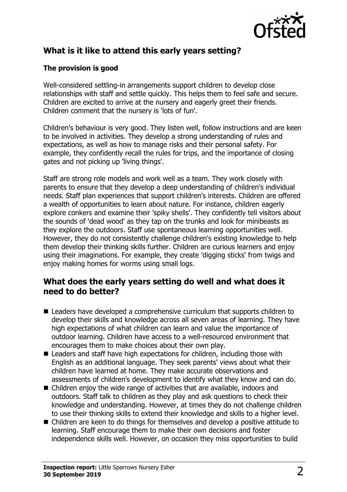

# **What is it like to attend this early years setting?**

#### **The provision is good**

Well-considered settling-in arrangements support children to develop close relationships with staff and settle quickly. This helps them to feel safe and secure. Children are excited to arrive at the nursery and eagerly greet their friends. Children comment that the nursery is 'lots of fun'.

Children's behaviour is very good. They listen well, follow instructions and are keen to be involved in activities. They develop a strong understanding of rules and expectations, as well as how to manage risks and their personal safety. For example, they confidently recall the rules for trips, and the importance of closing gates and not picking up 'living things'.

Staff are strong role models and work well as a team. They work closely with parents to ensure that they develop a deep understanding of children's individual needs. Staff plan experiences that support children's interests. Children are offered a wealth of opportunities to learn about nature. For instance, children eagerly explore conkers and examine their 'spiky shells'. They confidently tell visitors about the sounds of 'dead wood' as they tap on the trunks and look for minibeasts as they explore the outdoors. Staff use spontaneous learning opportunities well. However, they do not consistently challenge children's existing knowledge to help them develop their thinking skills further. Children are curious learners and enjoy using their imaginations. For example, they create 'digging sticks' from twigs and enjoy making homes for worms using small logs.

#### **What does the early years setting do well and what does it need to do better?**

- Leaders have developed a comprehensive curriculum that supports children to develop their skills and knowledge across all seven areas of learning. They have high expectations of what children can learn and value the importance of outdoor learning. Children have access to a well-resourced environment that encourages them to make choices about their own play.
- $\blacksquare$  Leaders and staff have high expectations for children, including those with English as an additional language. They seek parents' views about what their children have learned at home. They make accurate observations and assessments of children's development to identify what they know and can do.
- $\blacksquare$  Children enjoy the wide range of activities that are available, indoors and outdoors. Staff talk to children as they play and ask questions to check their knowledge and understanding. However, at times they do not challenge children to use their thinking skills to extend their knowledge and skills to a higher level.
- $\blacksquare$  Children are keen to do things for themselves and develop a positive attitude to learning. Staff encourage them to make their own decisions and foster independence skills well. However, on occasion they miss opportunities to build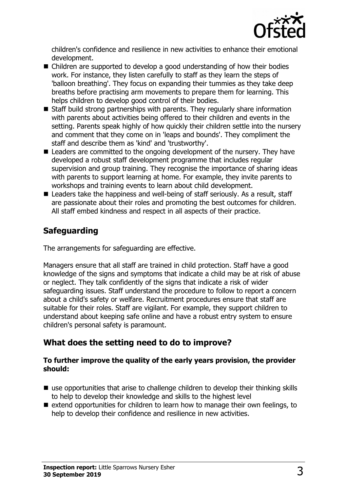

children's confidence and resilience in new activities to enhance their emotional development.

- $\blacksquare$  Children are supported to develop a good understanding of how their bodies work. For instance, they listen carefully to staff as they learn the steps of 'balloon breathing'. They focus on expanding their tummies as they take deep breaths before practising arm movements to prepare them for learning. This helps children to develop good control of their bodies.
- $\blacksquare$  Staff build strong partnerships with parents. They regularly share information with parents about activities being offered to their children and events in the setting. Parents speak highly of how quickly their children settle into the nursery and comment that they come on in 'leaps and bounds'. They compliment the staff and describe them as 'kind' and 'trustworthy'.
- $\blacksquare$  Leaders are committed to the ongoing development of the nursery. They have developed a robust staff development programme that includes regular supervision and group training. They recognise the importance of sharing ideas with parents to support learning at home. For example, they invite parents to workshops and training events to learn about child development.
- $\blacksquare$  Leaders take the happiness and well-being of staff seriously. As a result, staff are passionate about their roles and promoting the best outcomes for children. All staff embed kindness and respect in all aspects of their practice.

## **Safeguarding**

The arrangements for safeguarding are effective.

Managers ensure that all staff are trained in child protection. Staff have a good knowledge of the signs and symptoms that indicate a child may be at risk of abuse or neglect. They talk confidently of the signs that indicate a risk of wider safeguarding issues. Staff understand the procedure to follow to report a concern about a child's safety or welfare. Recruitment procedures ensure that staff are suitable for their roles. Staff are vigilant. For example, they support children to understand about keeping safe online and have a robust entry system to ensure children's personal safety is paramount.

## **What does the setting need to do to improve?**

#### **To further improve the quality of the early years provision, the provider should:**

- $\blacksquare$  use opportunities that arise to challenge children to develop their thinking skills to help to develop their knowledge and skills to the highest level
- $\blacksquare$  extend opportunities for children to learn how to manage their own feelings, to help to develop their confidence and resilience in new activities.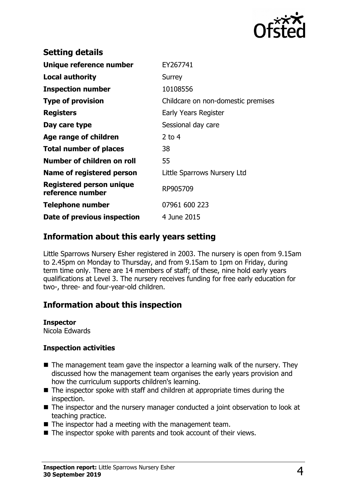

| <b>Setting details</b>                       |                                    |
|----------------------------------------------|------------------------------------|
| Unique reference number                      | EY267741                           |
| Local authority                              | Surrey                             |
| <b>Inspection number</b>                     | 10108556                           |
| <b>Type of provision</b>                     | Childcare on non-domestic premises |
| <b>Registers</b>                             | Early Years Register               |
| Day care type                                | Sessional day care                 |
| Age range of children                        | 2 to $4$                           |
| <b>Total number of places</b>                | 38                                 |
| Number of children on roll                   | 55                                 |
| Name of registered person                    | Little Sparrows Nursery Ltd        |
| Registered person unique<br>reference number | RP905709                           |
| <b>Telephone number</b>                      | 07961 600 223                      |
| Date of previous inspection                  | 4 June 2015                        |
|                                              |                                    |

#### **Information about this early years setting**

Little Sparrows Nursery Esher registered in 2003. The nursery is open from 9.15am to 2.45pm on Monday to Thursday, and from 9.15am to 1pm on Friday, during term time only. There are 14 members of staff; of these, nine hold early years qualifications at Level 3. The nursery receives funding for free early education for two-, three- and four-year-old children.

## **Information about this inspection**

**Inspector**

Nicola Edwards

#### **Inspection activities**

- $\blacksquare$  The management team gave the inspector a learning walk of the nursery. They discussed how the management team organises the early years provision and how the curriculum supports children's learning.
- $\blacksquare$  The inspector spoke with staff and children at appropriate times during the inspection.
- $\blacksquare$  The inspector and the nursery manager conducted a joint observation to look at teaching practice.
- $\blacksquare$  The inspector had a meeting with the management team.
- $\blacksquare$  The inspector spoke with parents and took account of their views.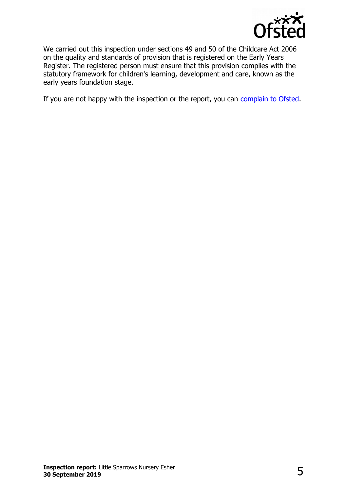

We carried out this inspection under sections 49 and 50 of the Childcare Act 2006 on the quality and standards of provision that is registered on the Early Years Register. The registered person must ensure that this provision complies with the statutory framework for children's learning, development and care, known as the early years foundation stage.

If you are not happy with the inspection or the report, you can [complain to Ofsted.](http://www.gov.uk/complain-ofsted-report)